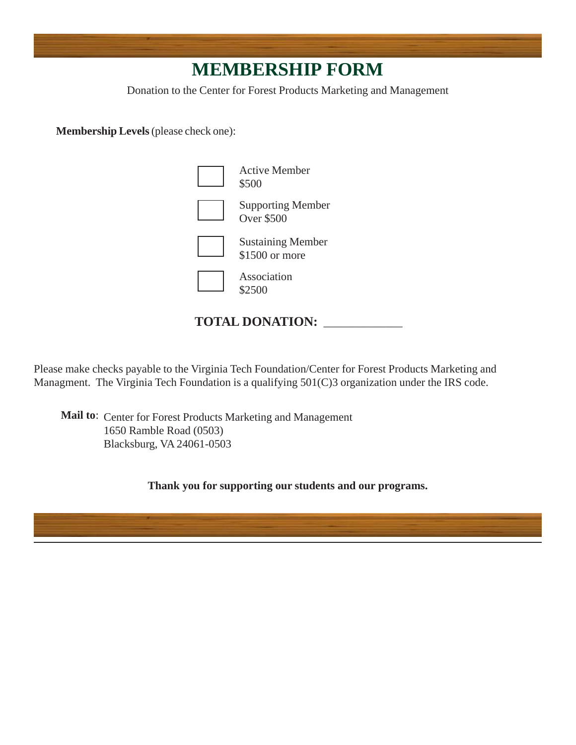## **MEMBERSHIP FORM**

Donation to the Center for Forest Products Marketing and Management

**Membership Levels** (please check one):



## **TOTAL DONATION:** \_\_\_\_\_\_\_\_\_\_\_\_\_\_

Please make checks payable to the Virginia Tech Foundation/Center for Forest Products Marketing and Managment. The Virginia Tech Foundation is a qualifying 501(C)3 organization under the IRS code.

Mail to: Center for Forest Products Marketing and Management 1650 Ramble Road (0503) Blacksburg, VA 24061-0503

**Thank you for supporting our students and our programs.**